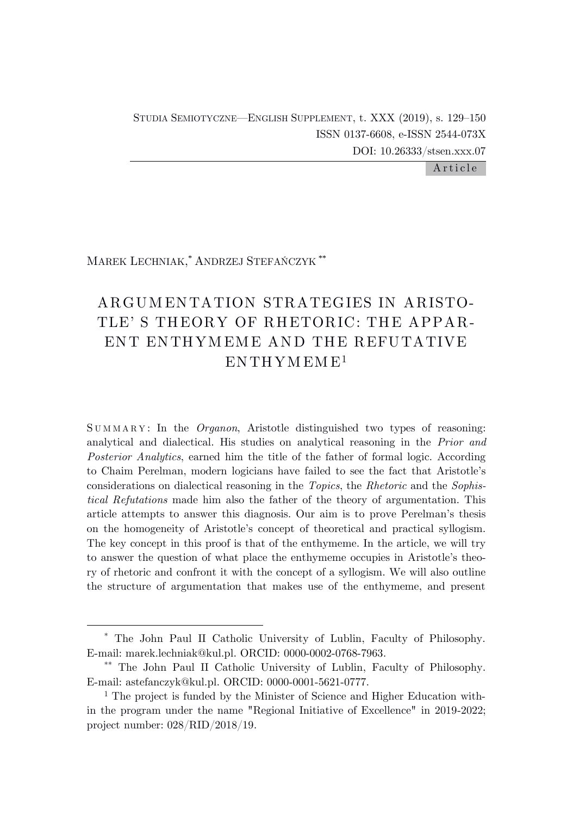STUDIA SEMIOTYCZNE—ENGLISH SUPPLEMENT, t. XXX (2019), s. 129–150 ISSN 0137-6608, e-ISSN 2544-073X DOI: 10.26333/stsen.xxx.07

Article

MAREK LECHNIAK, \* ANDRZEJ STEFAŃCZYK \*\*

# ARGUM ENTATION STRATEGIES IN ARISTO-TLE' S THEORY OF RHETORIC: THE APPAR-ENT ENTHYM EME AND THE REFUTATIVE ENTHYMEME<sup>1</sup>

S U M M A R Y : In the *Organon*, Aristotle distinguished two types of reasoning: analytical and dialectical. His studies on analytical reasoning in the *Prior and Posterior Analytics*, earned him the title of the father of formal logic. According to Chaim Perelman, modern logicians have failed to see the fact that Aristotle's considerations on dialectical reasoning in the *Topics*, the *Rhetoric* and the *Sophistical Refutations* made him also the father of the theory of argumentation. This article attempts to answer this diagnosis. Our aim is to prove Perelman's thesis on the homogeneity of Aristotle's concept of theoretical and practical syllogism. The key concept in this proof is that of the enthymeme. In the article, we will try to answer the question of what place the enthymeme occupies in Aristotle's theory of rhetoric and confront it with the concept of a syllogism. We will also outline the structure of argumentation that makes use of the enthymeme, and present

<sup>\*</sup> The John Paul II Catholic University of Lublin, Faculty of Philosophy. E-mail: marek.lechniak@kul.pl. ORCID: 0000-0002-0768-7963.

<sup>\*\*</sup> The John Paul II Catholic University of Lublin, Faculty of Philosophy. E-mail: astefanczyk@kul.pl. ORCID: 0000-0001-5621-0777.

<sup>&</sup>lt;sup>1</sup> The project is funded by the Minister of Science and Higher Education within the program under the name "Regional Initiative of Excellence" in 2019-2022; project number: 028/RID/2018/19.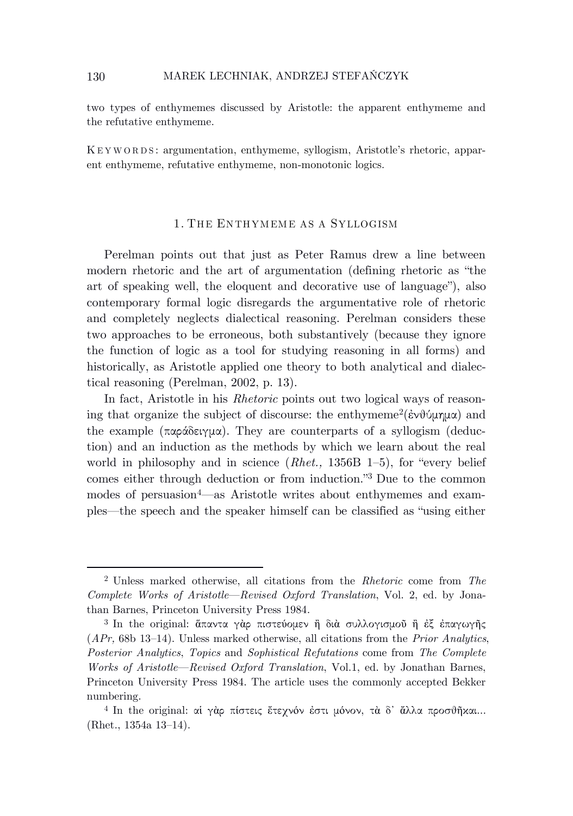two types of enthymemes discussed by Aristotle: the apparent enthymeme and the refutative enthymeme.

K E Y W O R D S : argumentation, enthymeme, syllogism, Aristotle's rhetoric, apparent enthymeme, refutative enthymeme, non-monotonic logics.

#### 1. THE ENTHYMEME AS A SYLLOGISM

Perelman points out that just as Peter Ramus drew a line between modern rhetoric and the art of argumentation (defining rhetoric as "the art of speaking well, the eloquent and decorative use of language"), also contemporary formal logic disregards the argumentative role of rhetoric and completely neglects dialectical reasoning. Perelman considers these two approaches to be erroneous, both substantively (because they ignore the function of logic as a tool for studying reasoning in all forms) and historically, as Aristotle applied one theory to both analytical and dialectical reasoning (Perelman, 2002, p. 13).

In fact, Aristotle in his *Rhetoric* points out two logical ways of reasoning that organize the subject of discourse: the enthymeme<sup>2</sup>(ἐνθύμημα) and the example (παράδειγμα). They are counterparts of a syllogism (deduction) and an induction as the methods by which we learn about the real world in philosophy and in science (*Rhet.,* 1356B 1–5), for "every belief comes either through deduction or from induction."<sup>3</sup> Due to the common modes of persuasion<sup>4</sup>—as Aristotle writes about enthymemes and examples—the speech and the speaker himself can be classified as "using either

<sup>2</sup> Unless marked otherwise, all citations from the *Rhetoric* come from *The Complete Works of Aristotle*—*Revised Oxford Translation*, Vol. 2, ed. by Jonathan Barnes, Princeton University Press 1984.

<sup>3</sup> In the original: ἅπαντα γὰρ πιστεύομεν ἢ διὰ συλλογισμοῦ ἢ ἐξ ἐπαγωγῆς (*APr,* 68b 13–14). Unless marked otherwise, all citations from the *Prior Analytics*, *Posterior Analytics*, *Topics* and *Sophistical Refutations* come from *The Complete Works of Aristotle*—*Revised Oxford Translation*, Vol.1, ed. by Jonathan Barnes, Princeton University Press 1984. The article uses the commonly accepted Bekker numbering.

<sup>4</sup> In the original: αἱ γὰρ πίστεις ἔτεχνόν ἐστι μόνον, τὰ δ᾽ ἄλλα προσθῆκαι... (Rhet., 1354a 13–14).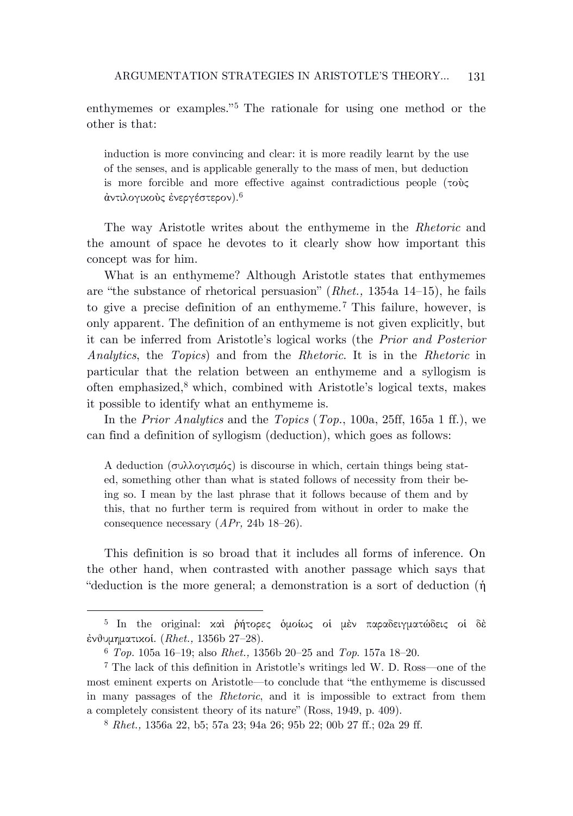enthymemes or examples.<sup>"5</sup> The rationale for using one method or the other is that:

induction is more convincing and clear: it is more readily learnt by the use of the senses, and is applicable generally to the mass of men, but deduction is more forcible and more effective against contradictious people (τοὺς άντιλογικοὺς ἐνεργέστερον). $^6$ 

The way Aristotle writes about the enthymeme in the *Rhetoric* and the amount of space he devotes to it clearly show how important this concept was for him.

What is an enthymeme? Although Aristotle states that enthymemes are "the substance of rhetorical persuasion" (*Rhet.,* 1354a 14–15), he fails to give a precise definition of an enthymeme.<sup>7</sup> This failure, however, is only apparent. The definition of an enthymeme is not given explicitly, but it can be inferred from Aristotle's logical works (the *Prior and Posterior Analytics*, the *Topics*) and from the *Rhetoric*. It is in the *Rhetoric* in particular that the relation between an enthymeme and a syllogism is often emphasized, <sup>8</sup> which, combined with Aristotle's logical texts, makes it possible to identify what an enthymeme is.

In the *Prior Analytics* and the *Topics* (*Top.*, 100a, 25ff, 165a 1 ff.), we can find a definition of syllogism (deduction), which goes as follows:

A deduction (συλλογισμός) is discourse in which, certain things being stated, something other than what is stated follows of necessity from their being so. I mean by the last phrase that it follows because of them and by this, that no further term is required from without in order to make the consequence necessary (*APr,* 24b 18–26).

This definition is so broad that it includes all forms of inference. On the other hand, when contrasted with another passage which says that "deduction is the more general; a demonstration is a sort of deduction (ἡ

<sup>5</sup> In the original: καὶ ῥήτορες ὁμοίως οἱ μὲν παραδειγματώδεις οἱ δὲ ἐνθυμηματικοί. (*Rhet.,* 1356b 27–28).

<sup>6</sup> *Top.* 105a 16–19; also *Rhet.,* 1356b 20–25 and *Top*. 157a 18–20.

<sup>7</sup> The lack of this definition in Aristotle's writings led W. D. Ross—one of the most eminent experts on Aristotle—to conclude that "the enthymeme is discussed in many passages of the *Rhetoric*, and it is impossible to extract from them a completely consistent theory of its nature" (Ross, 1949, p. 409).

<sup>8</sup> *Rhet.,* 1356a 22, b5; 57a 23; 94a 26; 95b 22; 00b 27 ff.; 02a 29 ff.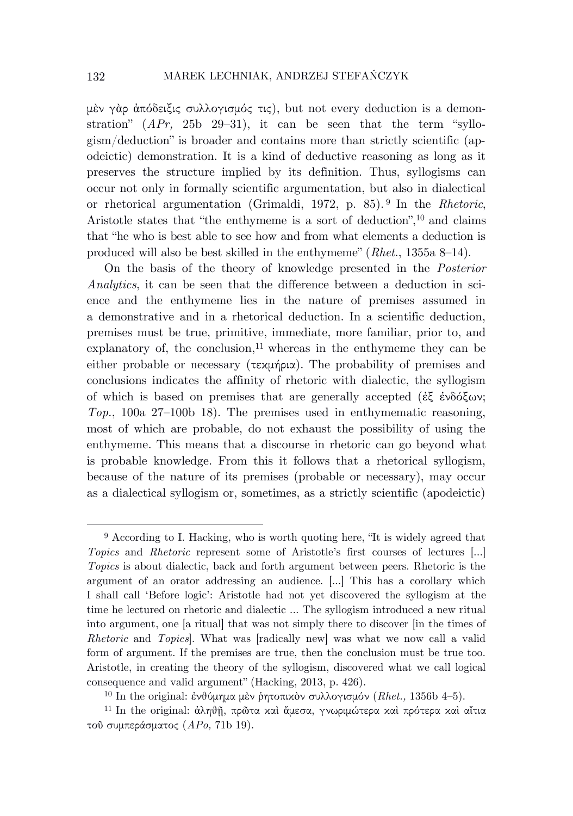μὲν γὰρ ἀπόδειξις συλλογισμός τις), but not every deduction is a demonstration" (*APr,* 25b 29–31), it can be seen that the term "syllogism/deduction" is broader and contains more than strictly scientific (apodeictic) demonstration. It is a kind of deductive reasoning as long as it preserves the structure implied by its definition. Thus, syllogisms can occur not only in formally scientific argumentation, but also in dialectical or rhetorical argumentation (Grimaldi, 1972, p. 85). <sup>9</sup> In the *Rhetoric*, Aristotle states that "the enthymeme is a sort of deduction", <sup>10</sup> and claims that "he who is best able to see how and from what elements a deduction is produced will also be best skilled in the enthymeme" (*Rhet.*, 1355a 8–14).

On the basis of the theory of knowledge presented in the *Posterior Analytics*, it can be seen that the difference between a deduction in science and the enthymeme lies in the nature of premises assumed in a demonstrative and in a rhetorical deduction. In a scientific deduction, premises must be true, primitive, immediate, more familiar, prior to, and explanatory of, the conclusion, <sup>11</sup> whereas in the enthymeme they can be either probable or necessary ( $\tau \in \mathcal{L}$ μήρια). The probability of premises and conclusions indicates the affinity of rhetoric with dialectic, the syllogism of which is based on premises that are generally accepted (ἐξ ἐνδόξων; *Top.*, 100a 27–100b 18). The premises used in enthymematic reasoning, most of which are probable, do not exhaust the possibility of using the enthymeme. This means that a discourse in rhetoric can go beyond what is probable knowledge. From this it follows that a rhetorical syllogism, because of the nature of its premises (probable or necessary), may occur as a dialectical syllogism or, sometimes, as a strictly scientific (apodeictic)

<sup>9</sup> According to I. Hacking, who is worth quoting here, "It is widely agreed that *Topics* and *Rhetoric* represent some of Aristotle's first courses of lectures [...] *Topics* is about dialectic, back and forth argument between peers. Rhetoric is the argument of an orator addressing an audience. [...] This has a corollary which I shall call 'Before logic': Aristotle had not yet discovered the syllogism at the time he lectured on rhetoric and dialectic ... The syllogism introduced a new ritual into argument, one [a ritual] that was not simply there to discover [in the times of *Rhetoric* and *Topics*]. What was [radically new] was what we now call a valid form of argument. If the premises are true, then the conclusion must be true too. Aristotle, in creating the theory of the syllogism, discovered what we call logical consequence and valid argument" (Hacking, 2013, p. 426).

<sup>10</sup> In the original: ἐνθύμημα μὲν ῥητοπικὸν συλλογισμόν (*Rhet.,* 1356b 4–5).

<sup>11</sup> In the original: ἀληθῇ, πρῶτα καὶ ἄμεσα, γνωριμώτερα καὶ πρότερα καὶ αἴτια τοῦ συμπεράσματος (*APo,* 71b 19).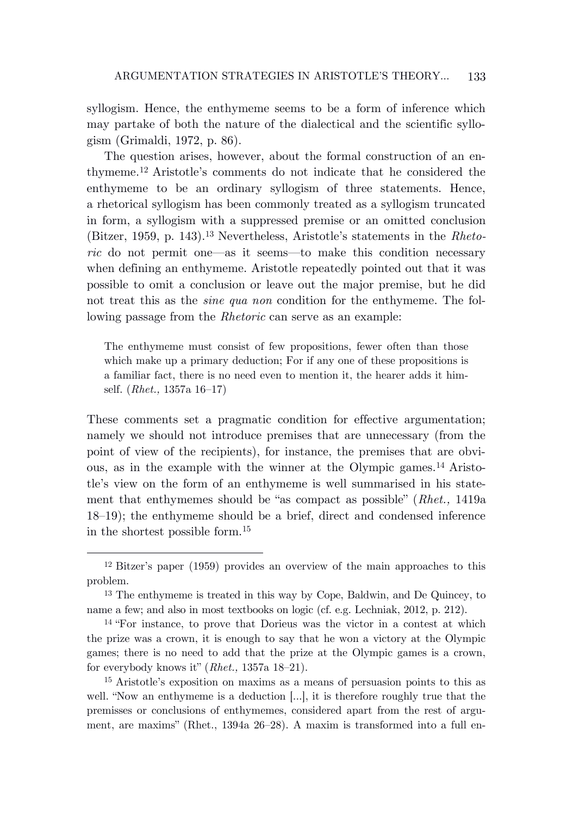syllogism. Hence, the enthymeme seems to be a form of inference which may partake of both the nature of the dialectical and the scientific syllogism (Grimaldi, 1972, p. 86).

The question arises, however, about the formal construction of an enthymeme.<sup>12</sup> Aristotle's comments do not indicate that he considered the enthymeme to be an ordinary syllogism of three statements. Hence, a rhetorical syllogism has been commonly treated as a syllogism truncated in form, a syllogism with a suppressed premise or an omitted conclusion (Bitzer, 1959, p. 143).<sup>13</sup> Nevertheless, Aristotle's statements in the *Rhetoric* do not permit one—as it seems—to make this condition necessary when defining an enthymeme. Aristotle repeatedly pointed out that it was possible to omit a conclusion or leave out the major premise, but he did not treat this as the *sine qua non* condition for the enthymeme. The following passage from the *Rhetoric* can serve as an example:

The enthymeme must consist of few propositions, fewer often than those which make up a primary deduction; For if any one of these propositions is a familiar fact, there is no need even to mention it, the hearer adds it himself. (*Rhet.,* 1357a 16–17)

These comments set a pragmatic condition for effective argumentation; namely we should not introduce premises that are unnecessary (from the point of view of the recipients), for instance, the premises that are obvious, as in the example with the winner at the Olympic games.<sup>14</sup> Aristotle's view on the form of an enthymeme is well summarised in his statement that enthymemes should be "as compact as possible" (*Rhet.,* 1419a 18–19); the enthymeme should be a brief, direct and condensed inference in the shortest possible form.<sup>15</sup>

<sup>12</sup> Bitzer's paper (1959) provides an overview of the main approaches to this problem.

<sup>13</sup> The enthymeme is treated in this way by Cope, Baldwin, and De Quincey, to name a few; and also in most textbooks on logic (cf. e.g. Lechniak, 2012, p. 212).

<sup>14</sup> "For instance, to prove that Dorieus was the victor in a contest at which the prize was a crown, it is enough to say that he won a victory at the Olympic games; there is no need to add that the prize at the Olympic games is a crown, for everybody knows it" (*Rhet.,* 1357a 18–21).

<sup>15</sup> Aristotle's exposition on maxims as a means of persuasion points to this as well. "Now an enthymeme is a deduction [...], it is therefore roughly true that the premisses or conclusions of enthymemes, considered apart from the rest of argument, are maxims" (Rhet., 1394a 26–28). A maxim is transformed into a full en-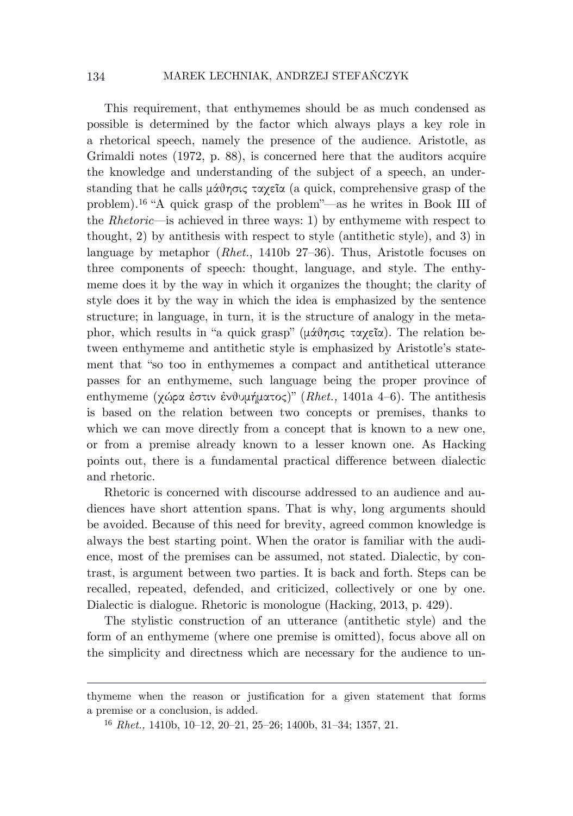This requirement, that enthymemes should be as much condensed as possible is determined by the factor which always plays a key role in a rhetorical speech, namely the presence of the audience. Aristotle, as Grimaldi notes (1972, p. 88), is concerned here that the auditors acquire the knowledge and understanding of the subject of a speech, an understanding that he calls μάθησις ταχεῖα (a quick, comprehensive grasp of the problem).<sup>16</sup> "A quick grasp of the problem"—as he writes in Book III of the *Rhetoric*—is achieved in three ways: 1) by enthymeme with respect to thought, 2) by antithesis with respect to style (antithetic style), and 3) in language by metaphor (*Rhet.*, 1410b 27–36). Thus, Aristotle focuses on three components of speech: thought, language, and style. The enthymeme does it by the way in which it organizes the thought; the clarity of style does it by the way in which the idea is emphasized by the sentence structure; in language, in turn, it is the structure of analogy in the metaphor, which results in "a quick grasp" (μάθησις ταχεῖα). The relation between enthymeme and antithetic style is emphasized by Aristotle's statement that "so too in enthymemes a compact and antithetical utterance passes for an enthymeme, such language being the proper province of enthymeme (χώρα ἐστιν ἐνθυμήματος)" (*Rhet.,* 1401a 4–6). The antithesis is based on the relation between two concepts or premises, thanks to which we can move directly from a concept that is known to a new one, or from a premise already known to a lesser known one. As Hacking points out, there is a fundamental practical difference between dialectic and rhetoric.

Rhetoric is concerned with discourse addressed to an audience and audiences have short attention spans. That is why, long arguments should be avoided. Because of this need for brevity, agreed common knowledge is always the best starting point. When the orator is familiar with the audience, most of the premises can be assumed, not stated. Dialectic, by contrast, is argument between two parties. It is back and forth. Steps can be recalled, repeated, defended, and criticized, collectively or one by one. Dialectic is dialogue. Rhetoric is monologue (Hacking, 2013, p. 429).

The stylistic construction of an utterance (antithetic style) and the form of an enthymeme (where one premise is omitted), focus above all on the simplicity and directness which are necessary for the audience to un-

thymeme when the reason or justification for a given statement that forms a premise or a conclusion, is added.

<sup>16</sup> *Rhet.,* 1410b, 10–12, 20–21, 25–26; 1400b, 31–34; 1357, 21.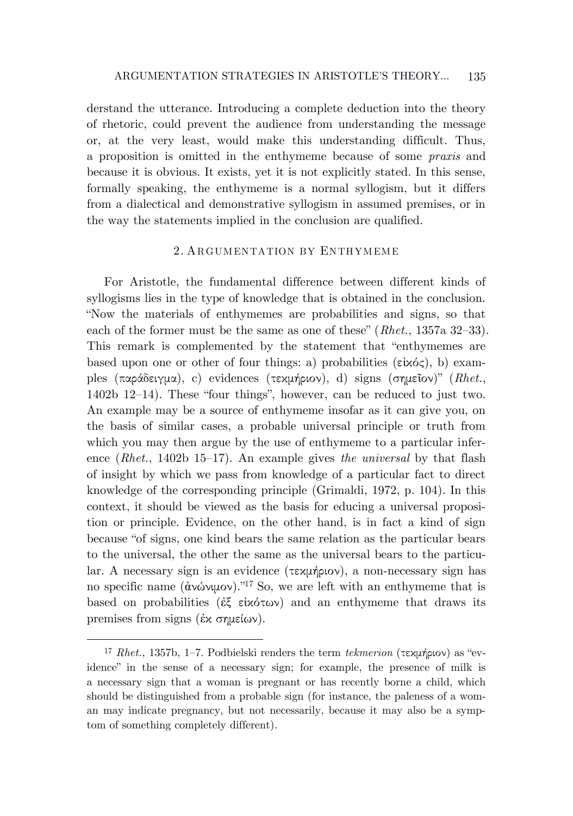derstand the utterance. Introducing a complete deduction into the theory of rhetoric, could prevent the audience from understanding the message or, at the very least, would make this understanding difficult. Thus, a proposition is omitted in the enthymeme because of some *praxis* and because it is obvious. It exists, yet it is not explicitly stated. In this sense, formally speaking, the enthymeme is a normal syllogism, but it differs from a dialectical and demonstrative syllogism in assumed premises, or in the way the statements implied in the conclusion are qualified.

#### 2. ARGUMENTATION BY ENTHYMEME

For Aristotle, the fundamental difference between different kinds of syllogisms lies in the type of knowledge that is obtained in the conclusion. "Now the materials of enthymemes are probabilities and signs, so that each of the former must be the same as one of these" (*Rhet.*, 1357a 32–33). This remark is complemented by the statement that "enthymemes are based upon one or other of four things: a) probabilities ( $\varepsilon$ ixó $\zeta$ ), b) examples (παράδειγμα), c) evidences (τεκμήριον), d) signs (σημεῖον)" (*Rhet.*, 1402b 12–14). These "four things", however, can be reduced to just two. An example may be a source of enthymeme insofar as it can give you, on the basis of similar cases, a probable universal principle or truth from which you may then argue by the use of enthymeme to a particular inference (*Rhet.*, 1402b 15–17). An example gives *the universal* by that flash of insight by which we pass from knowledge of a particular fact to direct knowledge of the corresponding principle (Grimaldi, 1972, p. 104). In this context, it should be viewed as the basis for educing a universal proposition or principle. Evidence, on the other hand, is in fact a kind of sign because "of signs, one kind bears the same relation as the particular bears to the universal, the other the same as the universal bears to the particular. A necessary sign is an evidence (τεκμήριον), a non-necessary sign has no specific name (ἀνώνιμον)."<sup>17</sup> So, we are left with an enthymeme that is based on probabilities (ἐξ εἰκότων) and an enthymeme that draws its premises from signs (ἐκ σημείων).

<sup>17</sup> *Rhet.,* 1357b, 1–7. Podbielski renders the term *tekmerion* (τεκμήριον) as "evidence" in the sense of a necessary sign; for example, the presence of milk is a necessary sign that a woman is pregnant or has recently borne a child, which should be distinguished from a probable sign (for instance, the paleness of a woman may indicate pregnancy, but not necessarily, because it may also be a symptom of something completely different).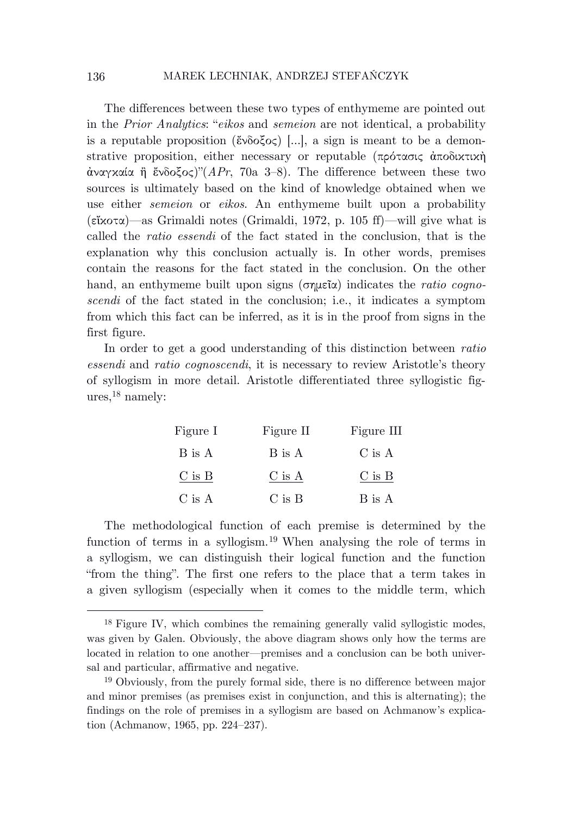The differences between these two types of enthymeme are pointed out in the *Prior Analytics*: "*eikos* and *semeion* are not identical, a probability is a reputable proposition (ἔνδοξος) […], a sign is meant to be a demonstrative proposition, either necessary or reputable (πρότασις ἀποδικτικὴ ἀναγκαία ἢ ἔνδοξος)"(*APr*, 70a 3–8). The difference between these two sources is ultimately based on the kind of knowledge obtained when we use either *semeion* or *eikos*. An enthymeme built upon a probability (εἴκοτα)—as Grimaldi notes (Grimaldi, 1972, p. 105 ff)—will give what is called the *ratio essendi* of the fact stated in the conclusion, that is the explanation why this conclusion actually is. In other words, premises contain the reasons for the fact stated in the conclusion. On the other hand, an enthymeme built upon signs (σημεῖα) indicates the *ratio cognoscendi* of the fact stated in the conclusion; i.e., it indicates a symptom from which this fact can be inferred, as it is in the proof from signs in the first figure.

In order to get a good understanding of this distinction between *ratio essendi* and *ratio cognoscendi*, it is necessary to review Aristotle's theory of syllogism in more detail. Aristotle differentiated three syllogistic figures, <sup>18</sup> namely:

| Figure I | Figure II  | Figure III |
|----------|------------|------------|
| B is A   | B is A     | C is A     |
| C is B   | C is A     | $C$ is $B$ |
| C is A   | $C$ is $B$ | B is A     |

The methodological function of each premise is determined by the function of terms in a syllogism.<sup>19</sup> When analysing the role of terms in a syllogism, we can distinguish their logical function and the function "from the thing". The first one refers to the place that a term takes in a given syllogism (especially when it comes to the middle term, which

<sup>&</sup>lt;sup>18</sup> Figure IV, which combines the remaining generally valid syllogistic modes, was given by Galen. Obviously, the above diagram shows only how the terms are located in relation to one another—premises and a conclusion can be both universal and particular, affirmative and negative.

<sup>19</sup> Obviously, from the purely formal side, there is no difference between major and minor premises (as premises exist in conjunction, and this is alternating); the findings on the role of premises in a syllogism are based on Achmanow's explication (Achmanow, 1965, pp. 224–237).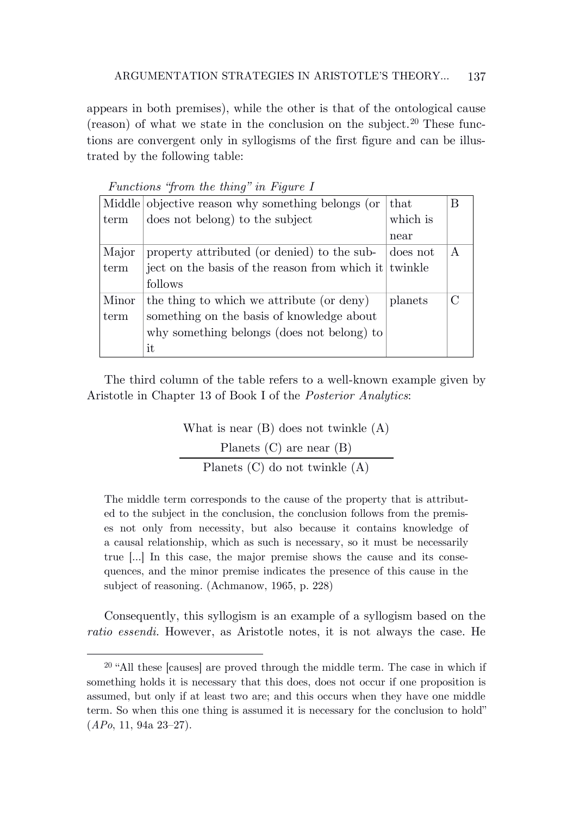appears in both premises), while the other is that of the ontological cause (reason) of what we state in the conclusion on the subject.<sup>20</sup> These functions are convergent only in syllogisms of the first figure and can be illustrated by the following table:

|       | Middle objective reason why something belongs (or     | that     | В |
|-------|-------------------------------------------------------|----------|---|
| term  | does not belong) to the subject                       | which is |   |
|       |                                                       | near     |   |
| Major | property attributed (or denied) to the sub-           | does not | A |
| term  | ject on the basis of the reason from which it twinkle |          |   |
|       | follows                                               |          |   |
| Minor | the thing to which we attribute (or deny)             | planets  |   |
| term  | something on the basis of knowledge about             |          |   |
|       | why something belongs (does not belong) to            |          |   |
|       | it                                                    |          |   |

*Functions "from the thing" in Figure I*

The third column of the table refers to a well-known example given by Aristotle in Chapter 13 of Book I of the *Posterior Analytics*:

> What is near (B) does not twinkle (A) Planets (C) are near (B) Planets (C) do not twinkle (A)

The middle term corresponds to the cause of the property that is attributed to the subject in the conclusion, the conclusion follows from the premises not only from necessity, but also because it contains knowledge of a causal relationship, which as such is necessary, so it must be necessarily true […] In this case, the major premise shows the cause and its consequences, and the minor premise indicates the presence of this cause in the subject of reasoning. (Achmanow, 1965, p. 228)

Consequently, this syllogism is an example of a syllogism based on the *ratio essendi.* However, as Aristotle notes, it is not always the case. He

<sup>20</sup> "All these [causes] are proved through the middle term. The case in which if something holds it is necessary that this does, does not occur if one proposition is assumed, but only if at least two are; and this occurs when they have one middle term. So when this one thing is assumed it is necessary for the conclusion to hold" (*APo*, 11, 94a 23–27).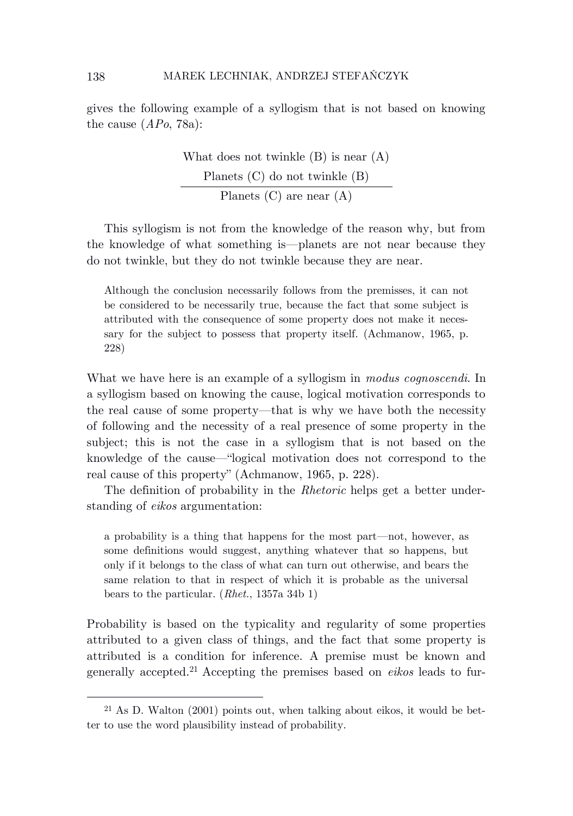gives the following example of a syllogism that is not based on knowing the cause (*APo*, 78a):

> What does not twinkle (B) is near (A) Planets (C) do not twinkle (B) Planets (C) are near (A)

This syllogism is not from the knowledge of the reason why, but from the knowledge of what something is—planets are not near because they do not twinkle, but they do not twinkle because they are near.

Although the conclusion necessarily follows from the premisses, it can not be considered to be necessarily true, because the fact that some subject is attributed with the consequence of some property does not make it necessary for the subject to possess that property itself. (Achmanow, 1965, p. 228)

What we have here is an example of a syllogism in *modus cognoscendi*. In a syllogism based on knowing the cause, logical motivation corresponds to the real cause of some property—that is why we have both the necessity of following and the necessity of a real presence of some property in the subject; this is not the case in a syllogism that is not based on the knowledge of the cause—"logical motivation does not correspond to the real cause of this property" (Achmanow, 1965, p. 228).

The definition of probability in the *Rhetoric* helps get a better understanding of *eikos* argumentation:

a probability is a thing that happens for the most part—not, however, as some definitions would suggest, anything whatever that so happens, but only if it belongs to the class of what can turn out otherwise, and bears the same relation to that in respect of which it is probable as the universal bears to the particular. (*Rhet.*, 1357a 34b 1)

Probability is based on the typicality and regularity of some properties attributed to a given class of things, and the fact that some property is attributed is a condition for inference. A premise must be known and generally accepted.<sup>21</sup> Accepting the premises based on *eikos* leads to fur-

<sup>21</sup> As D. Walton (2001) points out, when talking about eikos, it would be better to use the word plausibility instead of probability.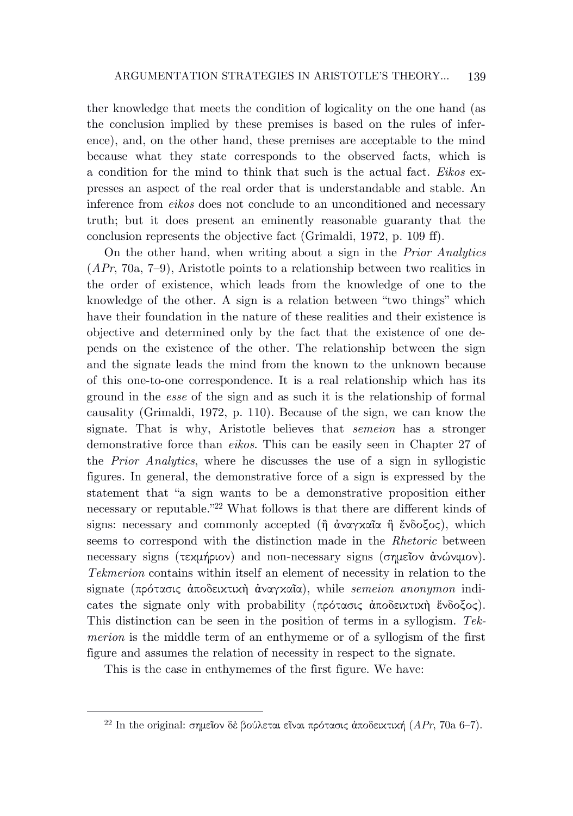ther knowledge that meets the condition of logicality on the one hand (as the conclusion implied by these premises is based on the rules of inference), and, on the other hand, these premises are acceptable to the mind because what they state corresponds to the observed facts, which is a condition for the mind to think that such is the actual fact. *Eikos* expresses an aspect of the real order that is understandable and stable. An inference from *eikos* does not conclude to an unconditioned and necessary truth; but it does present an eminently reasonable guaranty that the conclusion represents the objective fact (Grimaldi, 1972, p. 109 ff).

On the other hand, when writing about a sign in the *Prior Analytics* (*APr*, 70a, 7–9), Aristotle points to a relationship between two realities in the order of existence, which leads from the knowledge of one to the knowledge of the other. A sign is a relation between "two things" which have their foundation in the nature of these realities and their existence is objective and determined only by the fact that the existence of one depends on the existence of the other. The relationship between the sign and the signate leads the mind from the known to the unknown because of this one-to-one correspondence. It is a real relationship which has its ground in the *esse* of the sign and as such it is the relationship of formal causality (Grimaldi, 1972, p. 110). Because of the sign, we can know the signate. That is why, Aristotle believes that *semeion* has a stronger demonstrative force than *eikos*. This can be easily seen in Chapter 27 of the *Prior Analytics*, where he discusses the use of a sign in syllogistic figures. In general, the demonstrative force of a sign is expressed by the statement that "a sign wants to be a demonstrative proposition either necessary or reputable."<sup>22</sup> What follows is that there are different kinds of signs: necessary and commonly accepted ( $\hat{\eta}$  άναγκαῖα  $\hat{\eta}$  ἔνδοξος), which seems to correspond with the distinction made in the *Rhetoric* between necessary signs (τεκμήριον) and non-necessary signs (σημεῖον ἀνώνιμον). *Tekmerion* contains within itself an element of necessity in relation to the signate (πρότασις ἀποδεικτικὴ ἀναγκαῖα), while *semeion anonymon* indicates the signate only with probability (πρότασις ἀποδεικτικὴ ἔνδοξος). This distinction can be seen in the position of terms in a syllogism. *Tekmerion* is the middle term of an enthymeme or of a syllogism of the first figure and assumes the relation of necessity in respect to the signate.

This is the case in enthymemes of the first figure. We have:

<sup>22</sup> In the original: σημεῖον δὲ βούλεται εῖναι πρότασις ἀποδεικτική (*APr*, 70a 6–7).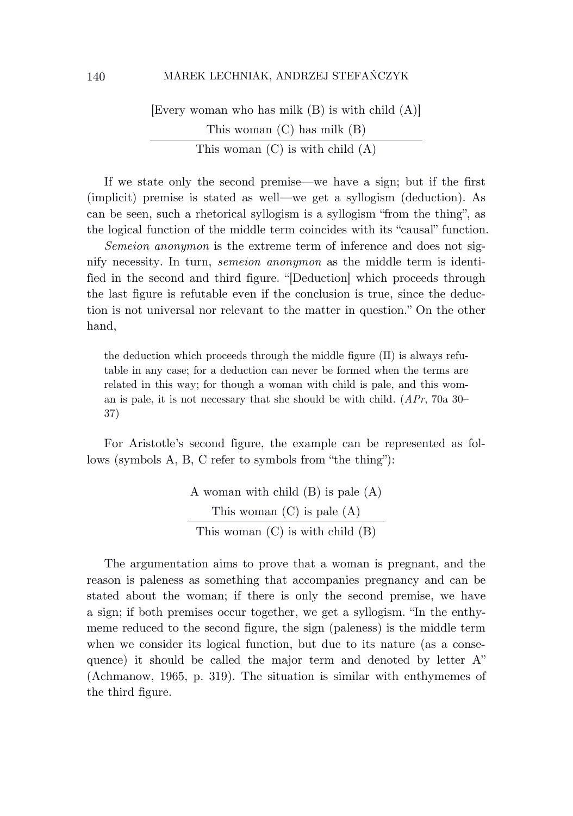[Every woman who has milk (B) is with child (A)] This woman (C) has milk (B) This woman (C) is with child (A)

If we state only the second premise—we have a sign; but if the first (implicit) premise is stated as well—we get a syllogism (deduction). As can be seen, such a rhetorical syllogism is a syllogism "from the thing", as the logical function of the middle term coincides with its "causal" function.

*Semeion anonymon* is the extreme term of inference and does not signify necessity. In turn, *semeion anonymon* as the middle term is identified in the second and third figure. "[Deduction] which proceeds through the last figure is refutable even if the conclusion is true, since the deduction is not universal nor relevant to the matter in question." On the other hand,

the deduction which proceeds through the middle figure (II) is always refutable in any case; for a deduction can never be formed when the terms are related in this way; for though a woman with child is pale, and this woman is pale, it is not necessary that she should be with child. (*APr*, 70a 30– 37)

For Aristotle's second figure, the example can be represented as follows (symbols A, B, C refer to symbols from "the thing"):

> A woman with child (B) is pale (A) This woman (C) is pale (A) This woman (C) is with child (B)

The argumentation aims to prove that a woman is pregnant, and the reason is paleness as something that accompanies pregnancy and can be stated about the woman; if there is only the second premise, we have a sign; if both premises occur together, we get a syllogism. "In the enthymeme reduced to the second figure, the sign (paleness) is the middle term when we consider its logical function, but due to its nature (as a consequence) it should be called the major term and denoted by letter A" (Achmanow, 1965, p. 319). The situation is similar with enthymemes of the third figure.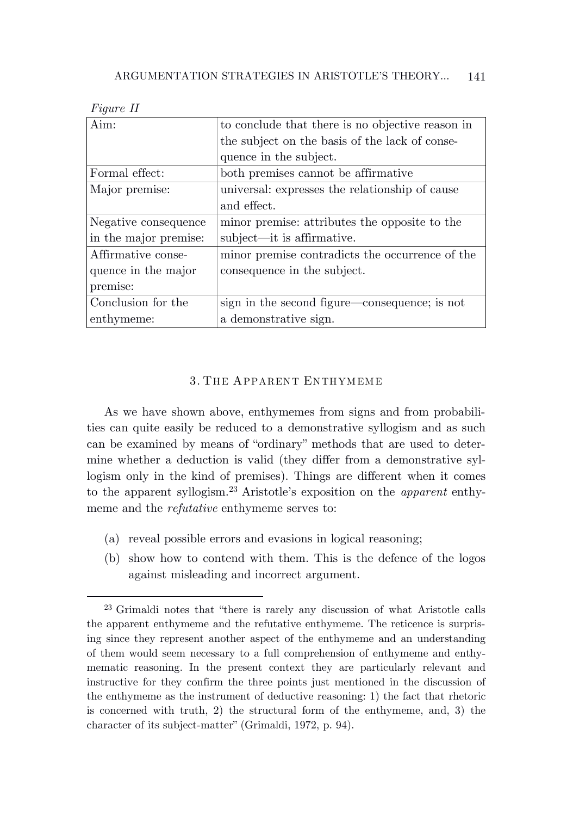| нт |  |
|----|--|
|----|--|

| Aim:                  | to conclude that there is no objective reason in |
|-----------------------|--------------------------------------------------|
|                       | the subject on the basis of the lack of conse-   |
|                       | quence in the subject.                           |
| Formal effect:        | both premises cannot be affirmative              |
| Major premise:        | universal: expresses the relationship of cause   |
|                       | and effect.                                      |
| Negative consequence  | minor premise: attributes the opposite to the    |
| in the major premise: | subject—it is affirmative.                       |
| Affirmative conse-    | minor premise contradicts the occurrence of the  |
| quence in the major   | consequence in the subject.                      |
| premise:              |                                                  |
| Conclusion for the    | sign in the second figure—consequence; is not    |
| enthymeme:            | a demonstrative sign.                            |

#### 3. THE APPARENT ENTHYM EME

As we have shown above, enthymemes from signs and from probabilities can quite easily be reduced to a demonstrative syllogism and as such can be examined by means of "ordinary" methods that are used to determine whether a deduction is valid (they differ from a demonstrative syllogism only in the kind of premises). Things are different when it comes to the apparent syllogism.<sup>23</sup> Aristotle's exposition on the *apparent* enthymeme and the *refutative* enthymeme serves to:

- (a) reveal possible errors and evasions in logical reasoning;
- (b) show how to contend with them. This is the defence of the logos against misleading and incorrect argument.

<sup>23</sup> Grimaldi notes that "there is rarely any discussion of what Aristotle calls the apparent enthymeme and the refutative enthymeme. The reticence is surprising since they represent another aspect of the enthymeme and an understanding of them would seem necessary to a full comprehension of enthymeme and enthymematic reasoning. In the present context they are particularly relevant and instructive for they confirm the three points just mentioned in the discussion of the enthymeme as the instrument of deductive reasoning: 1) the fact that rhetoric is concerned with truth, 2) the structural form of the enthymeme, and, 3) the character of its subject-matter" (Grimaldi, 1972, p. 94).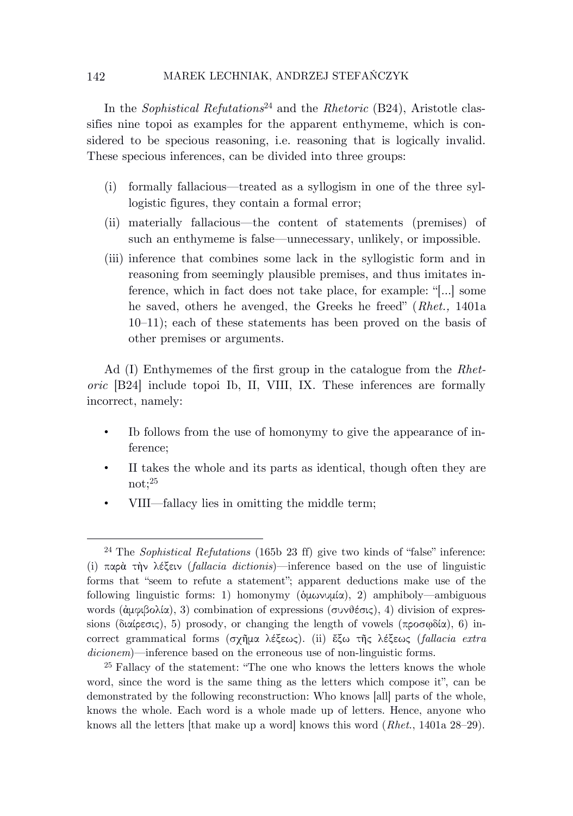In the *Sophistical Refutations*<sup>24</sup> and the *Rhetoric* (B24), Aristotle classifies nine topoi as examples for the apparent enthymeme, which is considered to be specious reasoning, i.e. reasoning that is logically invalid. These specious inferences, can be divided into three groups:

- (i) formally fallacious—treated as a syllogism in one of the three syllogistic figures, they contain a formal error;
- (ii) materially fallacious—the content of statements (premises) of such an enthymeme is false—unnecessary, unlikely, or impossible.
- (iii) inference that combines some lack in the syllogistic form and in reasoning from seemingly plausible premises, and thus imitates inference, which in fact does not take place, for example: "[…] some he saved, others he avenged, the Greeks he freed" (*Rhet.,* 1401a 10–11); each of these statements has been proved on the basis of other premises or arguments.

Ad (I) Enthymemes of the first group in the catalogue from the *Rhetoric* [B24] include topoi Ib, II, VIII, IX. These inferences are formally incorrect, namely:

- Ib follows from the use of homonymy to give the appearance of inference;
- II takes the whole and its parts as identical, though often they are not;<sup>25</sup>
- VIII—fallacy lies in omitting the middle term;

<sup>24</sup> The *Sophistical Refutations* (165b 23 ff) give two kinds of "false" inference: (i) παρὰ τὴν λέξειν (*fallacia dictionis*)—inference based on the use of linguistic forms that "seem to refute a statement"; apparent deductions make use of the following linguistic forms: 1) homonymy (ὁμωνυμία), 2) amphiboly—ambiguous words (ἀμφιβολία), 3) combination of expressions (συνθέσις), 4) division of expressions (διαίρεσις), 5) prosody, or changing the length of vowels (προσφδία), 6) incorrect grammatical forms (σχῆμα λέξεως). (ii) ἔξω τῆς λέξεως (*fallacia extra dicionem*)—inference based on the erroneous use of non-linguistic forms.

<sup>25</sup> Fallacy of the statement: "The one who knows the letters knows the whole word, since the word is the same thing as the letters which compose it", can be demonstrated by the following reconstruction: Who knows [all] parts of the whole, knows the whole. Each word is a whole made up of letters. Hence, anyone who knows all the letters [that make up a word] knows this word (*Rhet.*, 1401a 28–29).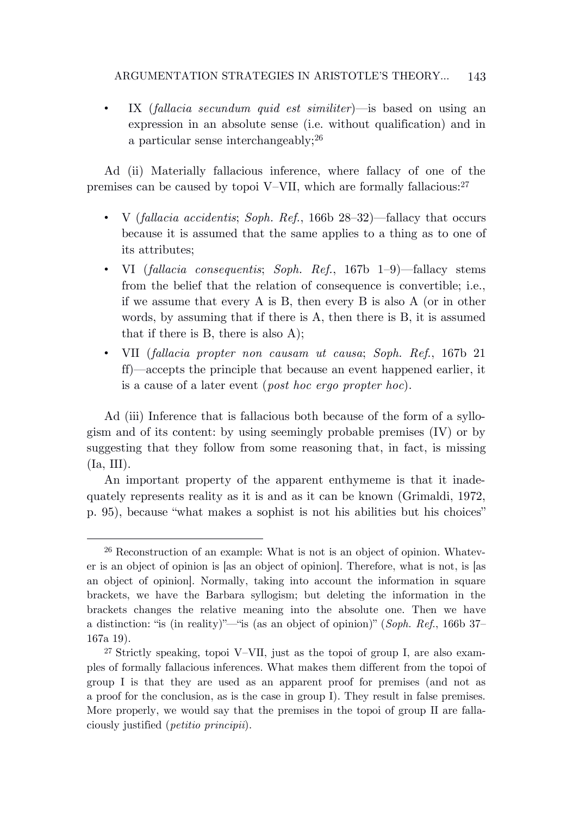• IX (*fallacia secundum quid est similiter*)—is based on using an expression in an absolute sense (i.e. without qualification) and in a particular sense interchangeably;<sup>26</sup>

Ad (ii) Materially fallacious inference, where fallacy of one of the premises can be caused by topoi V–VII, which are formally fallacious:<sup>27</sup>

- V (*fallacia accidentis*; *Soph. Ref.*, 166b 28–32)—fallacy that occurs because it is assumed that the same applies to a thing as to one of its attributes;
- VI (*fallacia consequentis*; *Soph. Ref.*, 167b 1–9)—fallacy stems from the belief that the relation of consequence is convertible; i.e., if we assume that every A is B, then every B is also A (or in other words, by assuming that if there is A, then there is B, it is assumed that if there is B, there is also A);
- VII (*fallacia propter non causam ut causa*; *Soph. Ref.*, 167b 21 ff)—accepts the principle that because an event happened earlier, it is a cause of a later event (*post hoc ergo propter hoc*).

Ad (iii) Inference that is fallacious both because of the form of a syllogism and of its content: by using seemingly probable premises (IV) or by suggesting that they follow from some reasoning that, in fact, is missing (Ia, III).

An important property of the apparent enthymeme is that it inadequately represents reality as it is and as it can be known (Grimaldi, 1972, p. 95), because "what makes a sophist is not his abilities but his choices"

<sup>26</sup> Reconstruction of an example: What is not is an object of opinion. Whatever is an object of opinion is [as an object of opinion]. Therefore, what is not, is [as an object of opinion]. Normally, taking into account the information in square brackets, we have the Barbara syllogism; but deleting the information in the brackets changes the relative meaning into the absolute one. Then we have a distinction: "is (in reality)"—"is (as an object of opinion)" (*Soph. Ref*., 166b 37– 167a 19).

<sup>27</sup> Strictly speaking, topoi V–VII, just as the topoi of group I, are also examples of formally fallacious inferences. What makes them different from the topoi of group I is that they are used as an apparent proof for premises (and not as a proof for the conclusion, as is the case in group I). They result in false premises. More properly, we would say that the premises in the topoi of group II are fallaciously justified (*petitio principii*).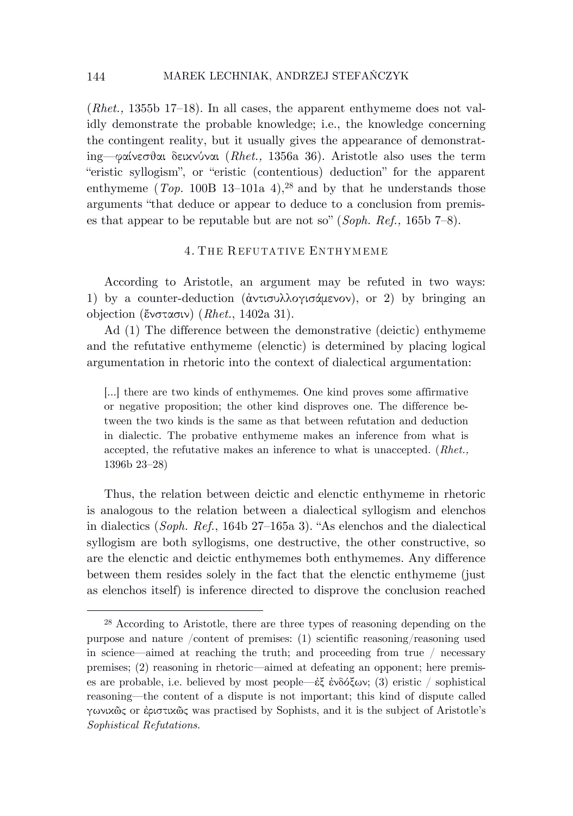(*Rhet.,* 1355b 17–18). In all cases, the apparent enthymeme does not validly demonstrate the probable knowledge; i.e., the knowledge concerning the contingent reality, but it usually gives the appearance of demonstrating—φαίνεσθαι δεικνύναι (*Rhet.,* 1356a 36). Aristotle also uses the term "eristic syllogism", or "eristic (contentious) deduction" for the apparent enthymeme  $(Top. 100B 13-101a 4),$ <sup>28</sup> and by that he understands those arguments "that deduce or appear to deduce to a conclusion from premises that appear to be reputable but are not so" (*Soph. Ref.,* 165b 7–8).

#### 4. THE REFUTATIVE ENTHYM EME

According to Aristotle, an argument may be refuted in two ways: 1) by a counter-deduction (ἀντισυλλογισάμενον), or 2) by bringing an objection (ἔνστασιν) (*Rhet.*, 1402a 31).

Ad (1) The difference between the demonstrative (deictic) enthymeme and the refutative enthymeme (elenctic) is determined by placing logical argumentation in rhetoric into the context of dialectical argumentation:

[…] there are two kinds of enthymemes. One kind proves some affirmative or negative proposition; the other kind disproves one. The difference between the two kinds is the same as that between refutation and deduction in dialectic. The probative enthymeme makes an inference from what is accepted, the refutative makes an inference to what is unaccepted. (*Rhet.,* 1396b 23–28)

Thus, the relation between deictic and elenctic enthymeme in rhetoric is analogous to the relation between a dialectical syllogism and elenchos in dialectics (*Soph. Ref.*, 164b 27–165a 3). "As elenchos and the dialectical syllogism are both syllogisms, one destructive, the other constructive, so are the elenctic and deictic enthymemes both enthymemes. Any difference between them resides solely in the fact that the elenctic enthymeme (just as elenchos itself) is inference directed to disprove the conclusion reached

<sup>28</sup> According to Aristotle, there are three types of reasoning depending on the purpose and nature /content of premises: (1) scientific reasoning/reasoning used in science—aimed at reaching the truth; and proceeding from true  $/$  necessary premises; (2) reasoning in rhetoric—aimed at defeating an opponent; here premises are probable, i.e. believed by most people—ἐξ ἐνδόξων; (3) eristic / sophistical reasoning—the content of a dispute is not important; this kind of dispute called γωνικῶς or ἐριστικῶς was practised by Sophists, and it is the subject of Aristotle's *Sophistical Refutations*.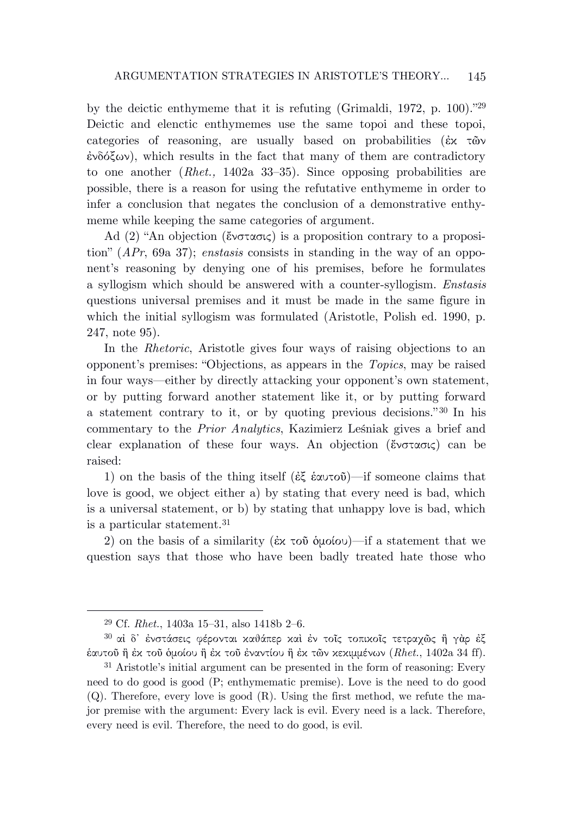by the deictic enthymeme that it is refuting (Grimaldi, 1972, p. 100)."<sup>29</sup> Deictic and elenctic enthymemes use the same topoi and these topoi, categories of reasoning, are usually based on probabilities (ἐκ τῶν  $\dot{\epsilon}$ νδόξων), which results in the fact that many of them are contradictory to one another (*Rhet.,* 1402a 33–35). Since opposing probabilities are possible, there is a reason for using the refutative enthymeme in order to infer a conclusion that negates the conclusion of a demonstrative enthymeme while keeping the same categories of argument.

Ad (2) "An objection (ἔνστασις) is a proposition contrary to a proposition" (*APr*, 69a 37); *enstasis* consists in standing in the way of an opponent's reasoning by denying one of his premises, before he formulates a syllogism which should be answered with a counter-syllogism. *Enstasis* questions universal premises and it must be made in the same figure in which the initial syllogism was formulated (Aristotle, Polish ed. 1990, p. 247, note 95).

In the *Rhetoric*, Aristotle gives four ways of raising objections to an opponent's premises: "Objections, as appears in the *Topics*, may be raised in four ways—either by directly attacking your opponent's own statement, or by putting forward another statement like it, or by putting forward a statement contrary to it, or by quoting previous decisions." <sup>30</sup> In his commentary to the *Prior Analytics*, Kazimierz Leśniak gives a brief and clear explanation of these four ways. An objection (ἔνστασις) can be raised:

1) on the basis of the thing itself (ἐξ ἑαυτοῦ)—if someone claims that love is good, we object either a) by stating that every need is bad, which is a universal statement, or b) by stating that unhappy love is bad, which is a particular statement.<sup>31</sup>

2) on the basis of a similarity (ἐκ τοῦ ὁμοίου)—if a statement that we question says that those who have been badly treated hate those who

<sup>29</sup> Cf. *Rhet.*, 1403a 15–31, also 1418b 2–6.

<sup>30</sup> αἰ δ᾽ ἐνστάσεις φέρονται καθάπερ καὶ ἐν τοῖς τοπικοῖς τετραχῶς ἢ γὰρ ἐξ ἑαυτοῦ ἢ ἐκ τοῦ ὁμοίου ἢ ἐκ τοῦ ἐναντίου ἢ ἐκ τῶν κεκιμμένων (*Rhet.*, 1402a 34 ff).

<sup>31</sup> Aristotle's initial argument can be presented in the form of reasoning: Every need to do good is good (P; enthymematic premise). Love is the need to do good  $(Q)$ . Therefore, every love is good  $(R)$ . Using the first method, we refute the major premise with the argument: Every lack is evil. Every need is a lack. Therefore, every need is evil. Therefore, the need to do good, is evil.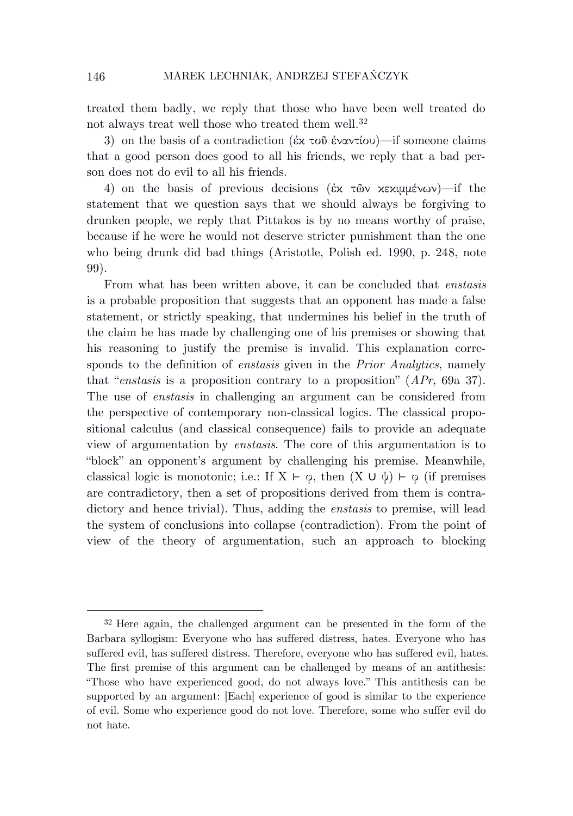treated them badly, we reply that those who have been well treated do not always treat well those who treated them well.<sup>32</sup>

3) on the basis of a contradiction (ἐχ τοῦ ἐναντίου)—if someone claims that a good person does good to all his friends, we reply that a bad person does not do evil to all his friends.

4) on the basis of previous decisions (ἐκ τῶν κεκιμμένων)—if the statement that we question says that we should always be forgiving to drunken people, we reply that Pittakos is by no means worthy of praise, because if he were he would not deserve stricter punishment than the one who being drunk did bad things (Aristotle, Polish ed. 1990, p. 248, note 99).

From what has been written above, it can be concluded that *enstasis* is a probable proposition that suggests that an opponent has made a false statement, or strictly speaking, that undermines his belief in the truth of the claim he has made by challenging one of his premises or showing that his reasoning to justify the premise is invalid. This explanation corresponds to the definition of *enstasis* given in the *Prior Analytics*, namely that "*enstasis* is a proposition contrary to a proposition" (*APr*, 69a 37). The use of *enstasis* in challenging an argument can be considered from the perspective of contemporary non-classical logics. The classical propositional calculus (and classical consequence) fails to provide an adequate view of argumentation by *enstasis*. The core of this argumentation is to "block" an opponent's argument by challenging his premise. Meanwhile, classical logic is monotonic; i.e.: If  $X \vdash \varphi$ , then  $(X \cup \psi) \vdash \varphi$  (if premises are contradictory, then a set of propositions derived from them is contradictory and hence trivial). Thus, adding the *enstasis* to premise, will lead the system of conclusions into collapse (contradiction). From the point of view of the theory of argumentation, such an approach to blocking

<sup>32</sup> Here again, the challenged argument can be presented in the form of the Barbara syllogism: Everyone who has suffered distress, hates. Everyone who has suffered evil, has suffered distress. Therefore, everyone who has suffered evil, hates. The first premise of this argument can be challenged by means of an antithesis: "Those who have experienced good, do not always love." This antithesis can be supported by an argument: [Each] experience of good is similar to the experience of evil. Some who experience good do not love. Therefore, some who suffer evil do not hate.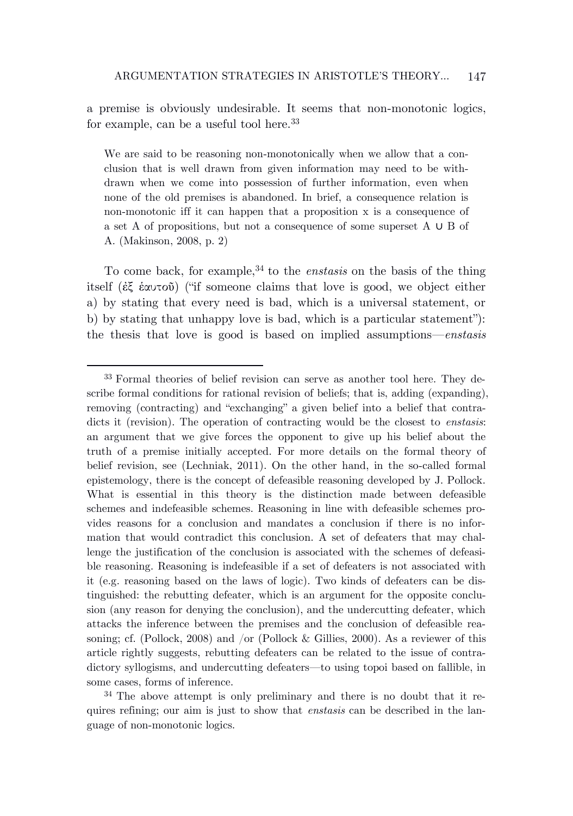a premise is obviously undesirable. It seems that non-monotonic logics, for example, can be a useful tool here.<sup>33</sup>

We are said to be reasoning non-monotonically when we allow that a conclusion that is well drawn from given information may need to be withdrawn when we come into possession of further information, even when none of the old premises is abandoned. In brief, a consequence relation is non-monotonic iff it can happen that a proposition x is a consequence of a set A of propositions, but not a consequence of some superset A ∪ B of A. (Makinson, 2008, p. 2)

To come back, for example,<sup>34</sup> to the *enstasis* on the basis of the thing itself (ἐξ ἑαυτοῦ) ("if someone claims that love is good, we object either a) by stating that every need is bad, which is a universal statement, or b) by stating that unhappy love is bad, which is a particular statement"): the thesis that love is good is based on implied assumptions—*enstasis*

<sup>33</sup> Formal theories of belief revision can serve as another tool here. They describe formal conditions for rational revision of beliefs; that is, adding (expanding), removing (contracting) and "exchanging" a given belief into a belief that contradicts it (revision). The operation of contracting would be the closest to *enstasis*: an argument that we give forces the opponent to give up his belief about the truth of a premise initially accepted. For more details on the formal theory of belief revision, see (Lechniak, 2011). On the other hand, in the so-called formal epistemology, there is the concept of defeasible reasoning developed by J. Pollock. What is essential in this theory is the distinction made between defeasible schemes and indefeasible schemes. Reasoning in line with defeasible schemes provides reasons for a conclusion and mandates a conclusion if there is no information that would contradict this conclusion. A set of defeaters that may challenge the justification of the conclusion is associated with the schemes of defeasible reasoning. Reasoning is indefeasible if a set of defeaters is not associated with it (e.g. reasoning based on the laws of logic). Two kinds of defeaters can be distinguished: the rebutting defeater, which is an argument for the opposite conclusion (any reason for denying the conclusion), and the undercutting defeater, which attacks the inference between the premises and the conclusion of defeasible reasoning; cf. (Pollock, 2008) and /or (Pollock & Gillies, 2000). As a reviewer of this article rightly suggests, rebutting defeaters can be related to the issue of contradictory syllogisms, and undercutting defeaters—to using topoi based on fallible, in some cases, forms of inference.

<sup>&</sup>lt;sup>34</sup> The above attempt is only preliminary and there is no doubt that it requires refining; our aim is just to show that *enstasis* can be described in the language of non-monotonic logics.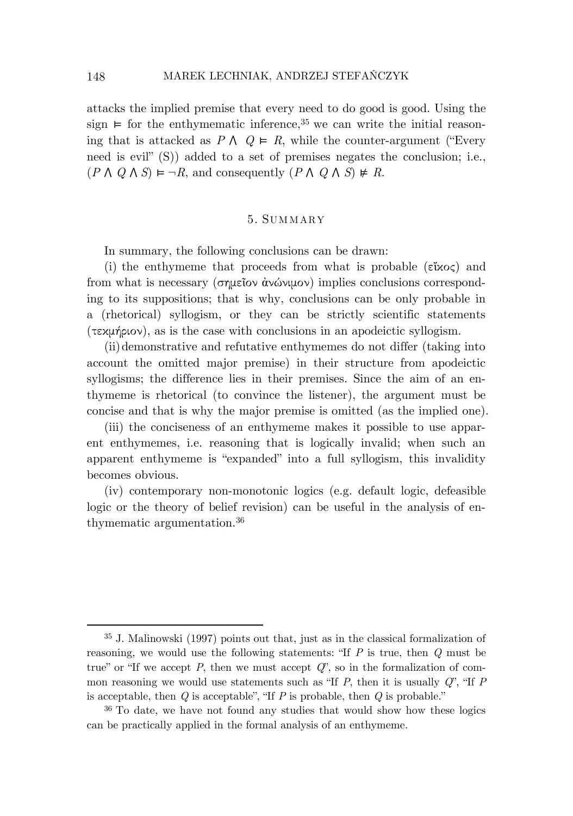attacks the implied premise that every need to do good is good. Using the sign  $\vdash$  for the enthymematic inference,<sup>35</sup> we can write the initial reasoning that is attacked as  $P \wedge Q \vDash R$ , while the counter-argument ("Every") need is evil" (S)) added to a set of premises negates the conclusion; i.e.,  $(P \wedge Q \wedge S) \vDash \neg R$ , and consequently  $(P \wedge Q \wedge S) \not\models R$ .

#### 5. SUM MARY

In summary, the following conclusions can be drawn:

(i) the enthymeme that proceeds from what is probable ( $\epsilon \tilde{\iota} \times \iota$ ) and from what is necessary (σημεῖον ἀνώνιμον) implies conclusions corresponding to its suppositions; that is why, conclusions can be only probable in a (rhetorical) syllogism, or they can be strictly scientific statements (τεκμήριον), as is the case with conclusions in an apodeictic syllogism.

(ii)demonstrative and refutative enthymemes do not differ (taking into account the omitted major premise) in their structure from apodeictic syllogisms; the difference lies in their premises. Since the aim of an enthymeme is rhetorical (to convince the listener), the argument must be concise and that is why the major premise is omitted (as the implied one).

(iii) the conciseness of an enthymeme makes it possible to use apparent enthymemes, i.e. reasoning that is logically invalid; when such an apparent enthymeme is "expanded" into a full syllogism, this invalidity becomes obvious.

(iv) contemporary non-monotonic logics (e.g. default logic, defeasible logic or the theory of belief revision) can be useful in the analysis of enthymematic argumentation.<sup>36</sup>

<sup>35</sup> J. Malinowski (1997) points out that, just as in the classical formalization of reasoning, we would use the following statements: "If *P* is true, then *Q* must be true" or "If we accept *P*, then we must accept *Q*", so in the formalization of common reasoning we would use statements such as "If *P*, then it is usually *Q*", "If *P* is acceptable, then *Q* is acceptable", "If *P* is probable, then *Q* is probable."

<sup>36</sup> To date, we have not found any studies that would show how these logics can be practically applied in the formal analysis of an enthymeme.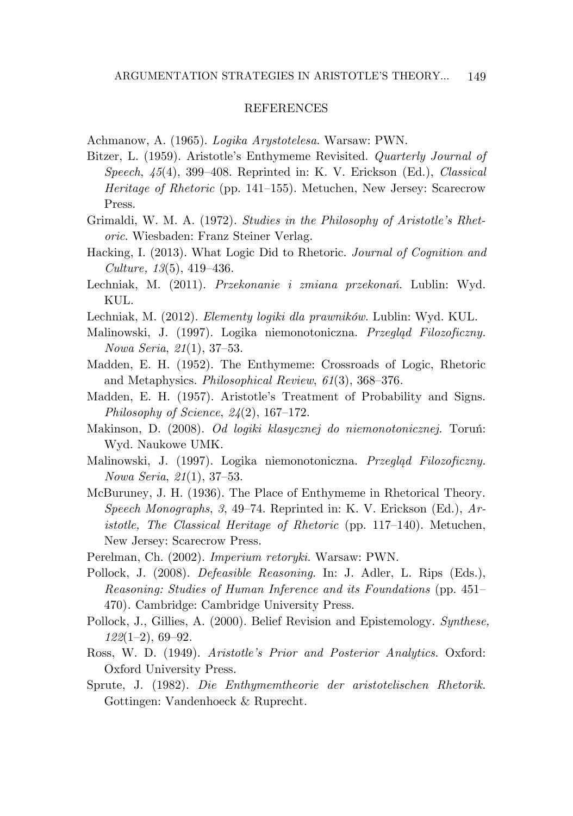## **REFERENCES**

Achmanow, A. (1965). *Logika Arystotelesa*. Warsaw: PWN.

- Bitzer, L. (1959). Aristotle's Enthymeme Revisited. *Quarterly Journal of Speech*, *45*(4), 399–408. Reprinted in: K. V. Erickson (Ed.), *Classical Heritage of Rhetoric* (pp. 141–155). Metuchen, New Jersey: Scarecrow Press.
- Grimaldi, W. M. A. (1972). *Studies in the Philosophy of Aristotle's Rhetoric*. Wiesbaden: Franz Steiner Verlag.
- Hacking, I. (2013). What Logic Did to Rhetoric. *Journal of Cognition and Culture, 13*(5), 419–436.
- Lechniak, M. (2011). *Przekonanie i zmiana przekonań*. Lublin: Wyd. KUL.
- Lechniak, M. (2012). *Elementy logiki dla prawników*. Lublin: Wyd. KUL.
- Malinowski, J. (1997). Logika niemonotoniczna. *Przegląd Filozoficzny. Nowa Seria*, *21*(1), 37–53.
- Madden, E. H. (1952). The Enthymeme: Crossroads of Logic, Rhetoric and Metaphysics. *Philosophical Review*, *61*(3), 368–376.
- Madden, E. H. (1957). Aristotle's Treatment of Probability and Signs. *Philosophy of Science*, *24*(2), 167–172.
- Makinson, D. (2008). *Od logiki klasycznej do niemonotonicznej.* Toruń: Wyd. Naukowe UMK.
- Malinowski, J. (1997). Logika niemonotoniczna. *Przegląd Filozoficzny. Nowa Seria*, *21*(1), 37–53.
- McBuruney, J. H. (1936). The Place of Enthymeme in Rhetorical Theory. *Speech Monographs*, *3*, 49–74. Reprinted in: K. V. Erickson (Ed.), *Aristotle, The Classical Heritage of Rhetoric* (pp. 117–140). Metuchen, New Jersey: Scarecrow Press.
- Perelman, Ch. (2002). *Imperium retoryki.* Warsaw: PWN.
- Pollock, J. (2008). *Defeasible Reasoning*. In: J. Adler, L. Rips (Eds.), *Reasoning: Studies of Human Inference and its Foundations* (pp. 451– 470)*.* Cambridge: Cambridge University Press.
- Pollock, J., Gillies, A. (2000). Belief Revision and Epistemology. *Synthese, 122*(1–2), 69–92.
- Ross, W. D. (1949). *Aristotle's Prior and Posterior Analytics*. Oxford: Oxford University Press.
- Sprute, J. (1982). *Die Enthymemtheorie der aristotelischen Rhetorik*. Gottingen: Vandenhoeck & Ruprecht.